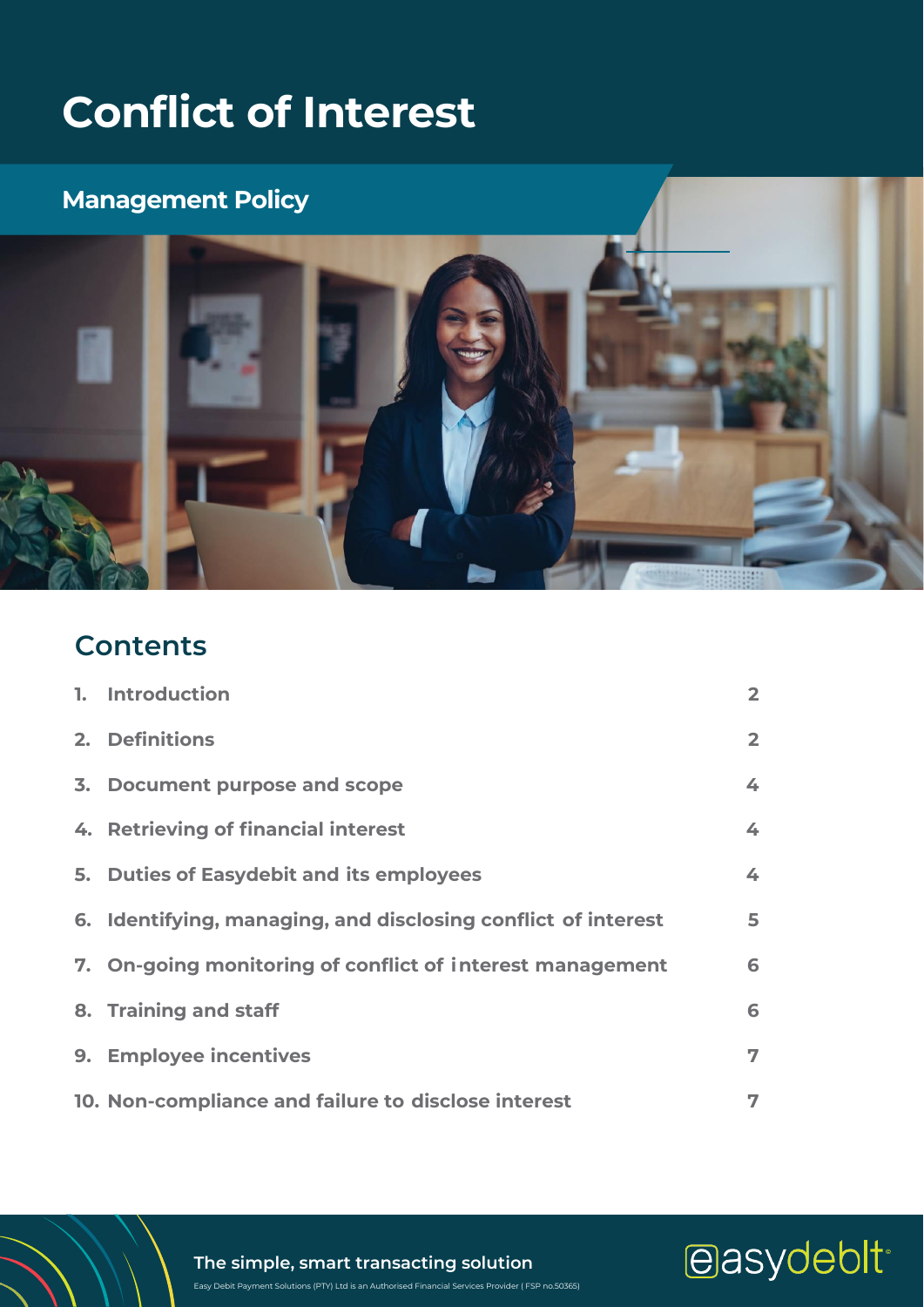# **Conflict of Interest**

# **Management Policy**



# **Contents**

| 1. Introduction                                               | $\overline{2}$ |
|---------------------------------------------------------------|----------------|
| 2. Definitions                                                | $\overline{2}$ |
| 3. Document purpose and scope                                 | 4              |
| 4. Retrieving of financial interest                           | 4              |
| 5. Duties of Easydebit and its employees                      | 4              |
| 6. Identifying, managing, and disclosing conflict of interest | 5              |
| 7. On-going monitoring of conflict of interest management     | 6              |
| 8. Training and staff                                         | 6              |
| 9. Employee incentives                                        | 7              |
| 10. Non-compliance and failure to disclose interest           | 7              |

**The simple, smart transacting solution**

Easy Debit Payment Solutions (PTY) Ltd is an Authorised Financial Services Provider ( FSP no.50365)

easydeblt<sup>®</sup>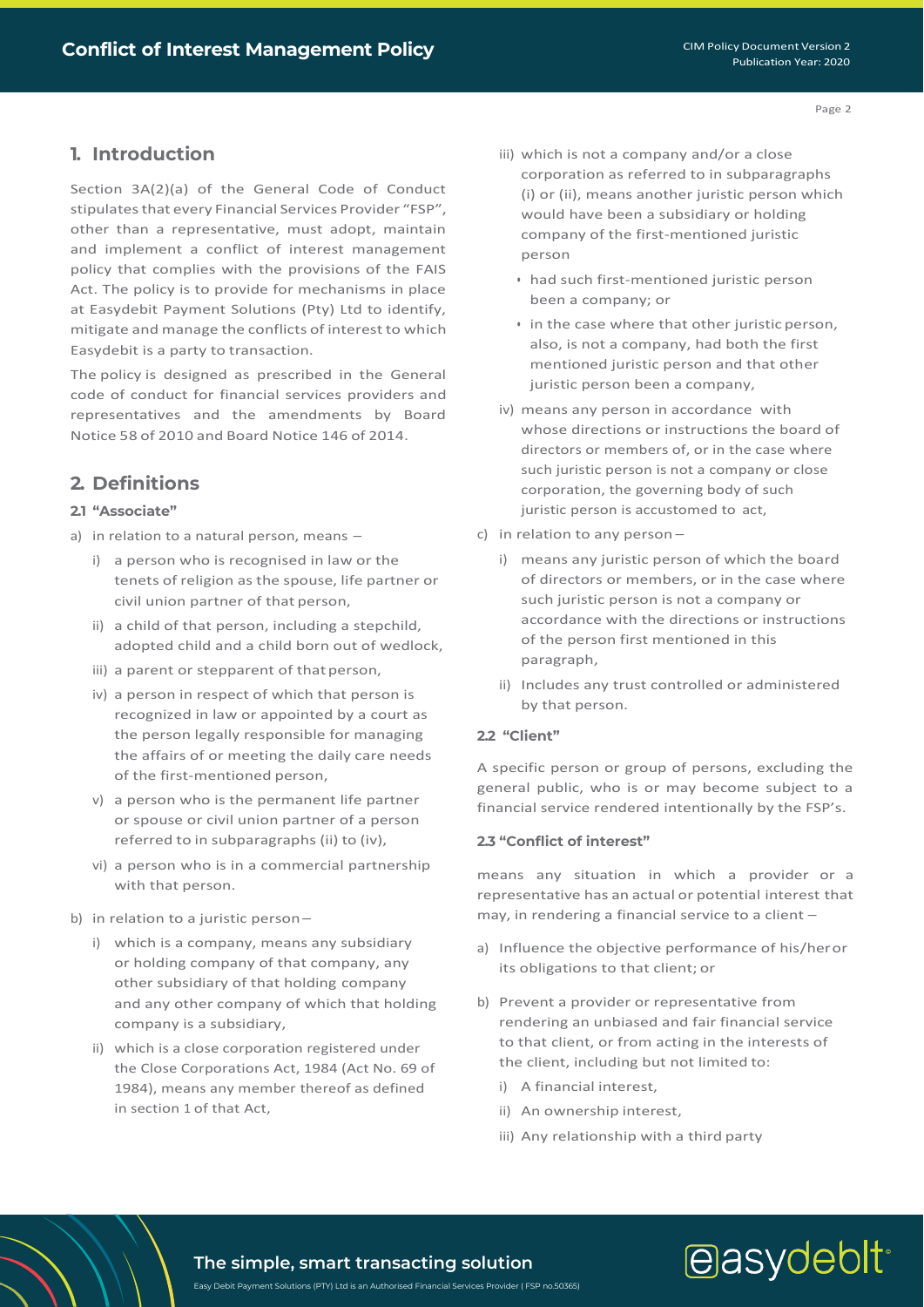#### Page 2

# <span id="page-1-0"></span>**1. Introduction**

Section 3A(2)(a) of the General Code of Conduct stipulates that every Financial Services Provider "FSP", other than a representative, must adopt, maintain and implement a conflict of interest management policy that complies with the provisions of the FAIS Act. The policy is to provide for mechanisms in place at Easydebit Payment Solutions (Pty) Ltd to identify, mitigate and manage the conflicts of interest to which Easydebit is a party to transaction.

The policy is designed as prescribed in the General code of conduct for financial services providers and representatives and the amendments by Board Notice 58 of 2010 and Board Notice 146 of 2014.

# <span id="page-1-1"></span>**2. Definitions**

### **2.1 "Associate"**

- a) in relation to a natural person, means
	- i) a person who is recognised in law or the tenets of religion as the spouse, life partner or civil union partner of that person,
	- ii) a child of that person, including a stepchild, adopted child and a child born out of wedlock,
	- iii) a parent or stepparent of that person,
	- iv) a person in respect of which that person is recognized in law or appointed by a court as the person legally responsible for managing the affairs of or meeting the daily care needs of the first-mentioned person,
	- v) a person who is the permanent life partner or spouse or civil union partner of a person referred to in subparagraphs (ii) to (iv),
	- vi) a person who is in a commercial partnership with that person.
- b) in relation to a juristic person
	- i) which is a company, means any subsidiary or holding company of that company, any other subsidiary of that holding company and any other company of which that holding company is a subsidiary,
	- ii) which is a close corporation registered under the Close Corporations Act, 1984 (Act No. 69 of 1984), means any member thereof as defined in section 1 of that Act,
- iii) which is not a company and/or a close corporation as referred to in subparagraphs (i) or (ii), means another juristic person which would have been a subsidiary or holding company of the first-mentioned juristic person
	- had such first-mentioned juristic person been a company; or
	- in the case where that other juristic person, also, is not a company, had both the first mentioned juristic person and that other juristic person been a company,
- iv) means any person in accordance with whose directions or instructions the board of directors or members of, or in the case where such juristic person is not a company or close corporation, the governing body of such juristic person is accustomed to act,
- c) in relation to any person
	- i) means any juristic person of which the board of directors or members, or in the case where such juristic person is not a company or accordance with the directions or instructions of the person first mentioned in this paragraph,
	- ii) Includes any trust controlled or administered by that person.

#### **2.2 "Client"**

A specific person or group of persons, excluding the general public, who is or may become subject to a financial service rendered intentionally by the FSP's.

#### **2.3 "Conflict of interest"**

means any situation in which a provider or a representative has an actual or potential interest that may, in rendering a financial service to a client –

- a) Influence the objective performance of his/heror its obligations to that client; or
- b) Prevent a provider or representative from rendering an unbiased and fair financial service to that client, or from acting in the interests of the client, including but not limited to:

easydebit<sup>®</sup>

- i) A financial interest,
- ii) An ownership interest,
- iii) Any relationship with a third party

## **The simple, smart transacting solution**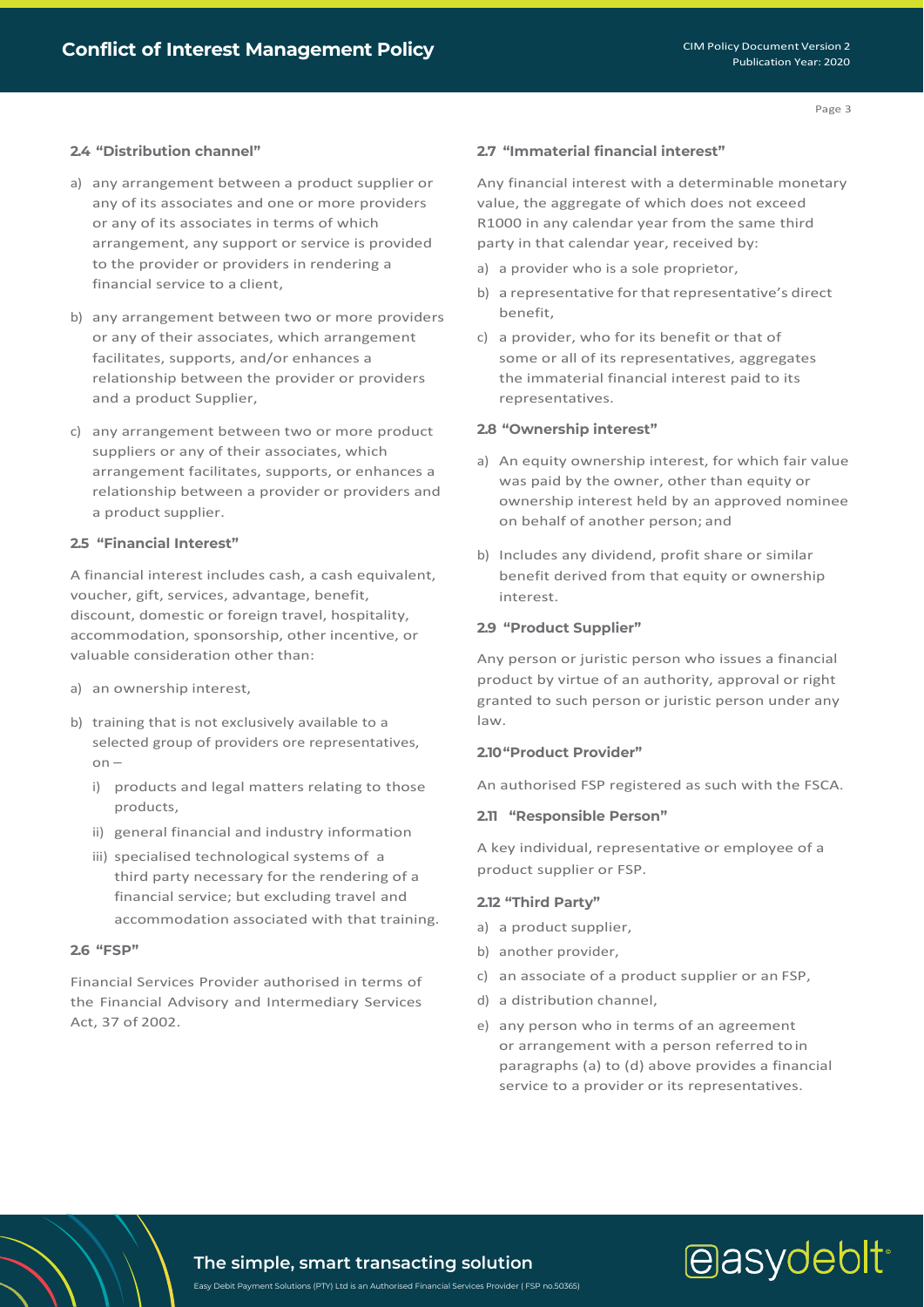#### **2.4 "Distribution channel"**

- a) any arrangement between a product supplier or any of its associates and one or more providers or any of its associates in terms of which arrangement, any support or service is provided to the provider or providers in rendering a financial service to a client,
- b) any arrangement between two or more providers or any of their associates, which arrangement facilitates, supports, and/or enhances a relationship between the provider or providers and a product Supplier,
- c) any arrangement between two or more product suppliers or any of their associates, which arrangement facilitates, supports, or enhances a relationship between a provider or providers and a product supplier.

#### **2.5 "Financial Interest"**

A financial interest includes cash, a cash equivalent, voucher, gift, services, advantage, benefit, discount, domestic or foreign travel, hospitality, accommodation, sponsorship, other incentive, or valuable consideration other than:

- a) an ownership interest,
- b) training that is not exclusively available to a selected group of providers ore representatives,  $on$ 
	- i) products and legal matters relating to those products,
	- ii) general financial and industry information
	- iii) specialised technological systems of a third party necessary for the rendering of a financial service; but excluding travel and accommodation associated with that training.

#### **2.6 "FSP"**

Financial Services Provider authorised in terms of the Financial Advisory and Intermediary Services Act, 37 of 2002.

#### **2.7 "Immaterial financial interest"**

Any financial interest with a determinable monetary value, the aggregate of which does not exceed R1000 in any calendar year from the same third party in that calendar year, received by:

- a) a provider who is a sole proprietor,
- b) a representative forthat representative's direct benefit,
- c) a provider, who for its benefit or that of some or all of its representatives, aggregates the immaterial financial interest paid to its representatives.

#### **2.8 "Ownership interest"**

- a) An equity ownership interest, for which fair value was paid by the owner, other than equity or ownership interest held by an approved nominee on behalf of another person; and
- b) Includes any dividend, profit share or similar benefit derived from that equity or ownership interest.

#### **2.9 "Product Supplier"**

Any person or juristic person who issues a financial product by virtue of an authority, approval or right granted to such person or juristic person under any law.

#### **2.10"Product Provider"**

An authorised FSP registered as such with the FSCA.

#### **2.11 "Responsible Person"**

A key individual, representative or employee of a product supplier or FSP.

#### **2.12 "Third Party"**

- a) a product supplier,
- b) another provider,
- c) an associate of a product supplier or an FSP,
- d) a distribution channel,
- e) any person who in terms of an agreement or arrangement with a person referred toin paragraphs (a) to (d) above provides a financial service to a provider or its representatives.

easydebit<sup>®</sup>

# **The simple, smart transacting solution**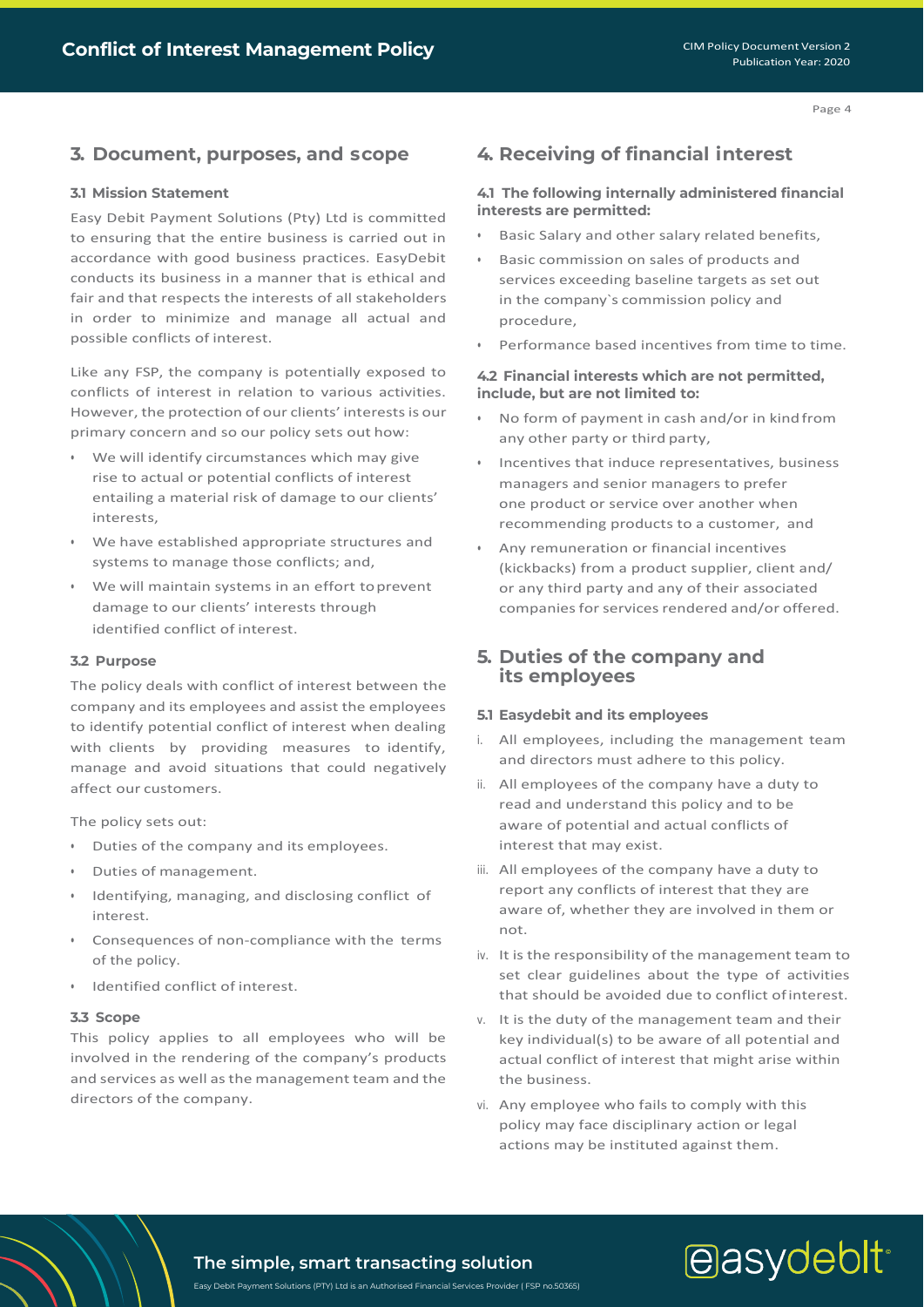## **3. Document, purposes, and scope**

#### **3.1 Mission Statement**

Easy Debit Payment Solutions (Pty) Ltd is committed to ensuring that the entire business is carried out in accordance with good business practices. EasyDebit conducts its business in a manner that is ethical and fair and that respects the interests of all stakeholders in order to minimize and manage all actual and possible conflicts of interest.

Like any FSP, the company is potentially exposed to conflicts of interest in relation to various activities. However, the protection of our clients' interestsis our primary concern and so our policy sets out how:

- We will identify circumstances which may give rise to actual or potential conflicts of interest entailing a material risk of damage to our clients' interests,
- We have established appropriate structures and systems to manage those conflicts; and,
- We will maintain systems in an effort to prevent damage to our clients' interests through identified conflict of interest.

#### **3.2 Purpose**

The policy deals with conflict of interest between the company and its employees and assist the employees to identify potential conflict of interest when dealing with clients by providing measures to identify, manage and avoid situations that could negatively affect our customers.

The policy sets out:

- Duties of the company and its employees.
- Duties of management.
- Identifying, managing, and disclosing conflict of interest.
- Consequences of non-compliance with the terms of the policy.
- Identified conflict of interest.

#### **3.3 Scope**

This policy applies to all employees who will be involved in the rendering of the company's products and services as well as the management team and the directors of the company.

# **4. Receiving of financial interest**

#### **4.1 The following internally administered financial interests are permitted:**

- Basic Salary and other salary related benefits,
- Basic commission on sales of products and services exceeding baseline targets as set out in the company`s commission policy and procedure,
- Performance based incentives from time to time.

#### **4.2 Financial interests which are not permitted, include, but are not limited to:**

- No form of payment in cash and/or in kindfrom any other party or third party,
- Incentives that induce representatives, business managers and senior managers to prefer one product or service over another when recommending products to a customer, and
- Any remuneration or financial incentives (kickbacks) from a product supplier, client and/ or any third party and any of their associated companies for services rendered and/or offered.

# <span id="page-3-0"></span>**5. Duties of the company and its employees**

#### **5.1 Easydebit and its employees**

- i. All employees, including the management team and directors must adhere to this policy.
- ii. All employees of the company have a duty to read and understand this policy and to be aware of potential and actual conflicts of interest that may exist.
- iii. All employees of the company have a duty to report any conflicts of interest that they are aware of, whether they are involved in them or not.
- iv. It is the responsibility of the management team to set clear guidelines about the type of activities that should be avoided due to conflict ofinterest.
- v. It is the duty of the management team and their key individual(s) to be aware of all potential and actual conflict of interest that might arise within the business.
- vi. Any employee who fails to comply with this policy may face disciplinary action or legal actions may be instituted against them.

# easydeblt<sup>®</sup>

# **The simple, smart transacting solution**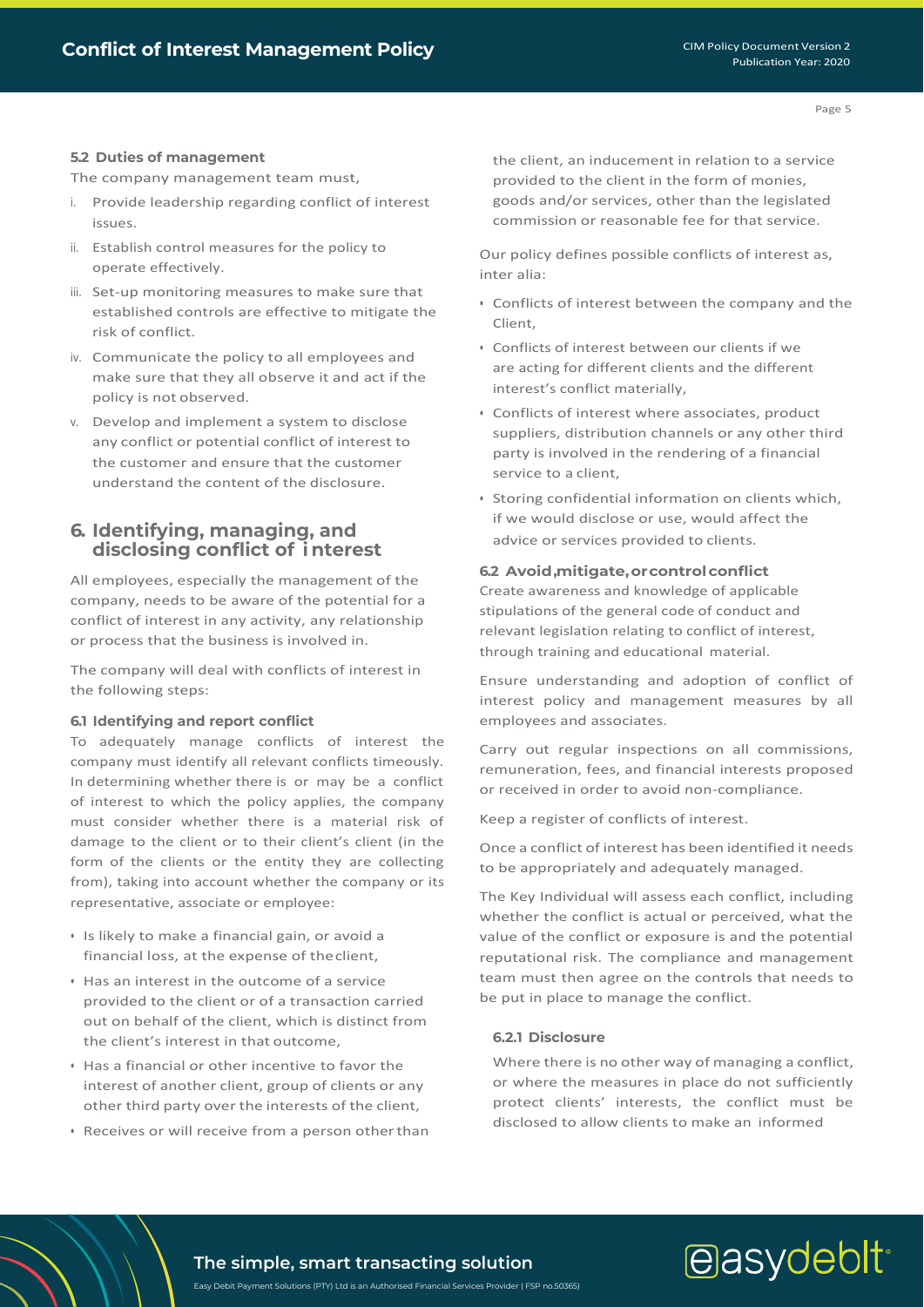#### **5.2 Duties of management**

The company management team must,

- i. Provide leadership regarding conflict of interest issues.
- ii. Establish control measures for the policy to operate effectively.
- iii. Set-up monitoring measures to make sure that established controls are effective to mitigate the risk of conflict.
- iv. Communicate the policy to all employees and make sure that they all observe it and act if the policy is not observed.
- v. Develop and implement a system to disclose any conflict or potential conflict of interest to the customer and ensure that the customer understand the content of the disclosure.

### <span id="page-4-0"></span>**6. Identifying, managing, and disclosing conflict of interest**

All employees, especially the management of the company, needs to be aware of the potential for a conflict of interest in any activity, any relationship or process that the business is involved in.

The company will deal with conflicts of interest in the following steps:

#### **6.1 Identifying and report conflict**

To adequately manage conflicts of interest the company must identify all relevant conflicts timeously. In determining whether there is or may be a conflict of interest to which the policy applies, the company must consider whether there is a material risk of damage to the client or to their client's client (in the form of the clients or the entity they are collecting from), taking into account whether the company or its representative, associate or employee:

- Is likely to make a financial gain, or avoid a financial loss, at the expense of theclient,
- Has an interest in the outcome of a service provided to the client or of a transaction carried out on behalf of the client, which is distinct from the client's interest in that outcome,
- Has a financial or other incentive to favor the interest of another client, group of clients or any other third party over the interests of the client,
- Receives or will receive from a person otherthan

the client, an inducement in relation to a service provided to the client in the form of monies, goods and/or services, other than the legislated commission or reasonable fee for that service.

Our policy defines possible conflicts of interest as, inter alia:

- Conflicts of interest between the company and the Client,
- Conflicts of interest between our clients if we are acting for different clients and the different interest's conflict materially,
- Conflicts of interest where associates, product suppliers, distribution channels or any other third party is involved in the rendering of a financial service to a client,
- Storing confidential information on clients which, if we would disclose or use, would affect the advice or services provided to clients.

#### **6.2 Avoid,mitigate,orcontrolconflict**

Create awareness and knowledge of applicable stipulations of the general code of conduct and relevant legislation relating to conflict of interest, through training and educational material.

Ensure understanding and adoption of conflict of interest policy and management measures by all employees and associates.

Carry out regular inspections on all commissions, remuneration, fees, and financial interests proposed or received in order to avoid non-compliance.

Keep a register of conflicts of interest.

Once a conflict of interest has been identified it needs to be appropriately and adequately managed.

The Key Individual will assess each conflict, including whether the conflict is actual or perceived, what the value of the conflict or exposure is and the potential reputational risk. The compliance and management team must then agree on the controls that needs to be put in place to manage the conflict.

#### **6.2.1 Disclosure**

Where there is no other way of managing a conflict, or where the measures in place do not sufficiently protect clients' interests, the conflict must be disclosed to allow clients to make an informed

# easydebit<sup>®</sup>

# **The simple, smart transacting solution**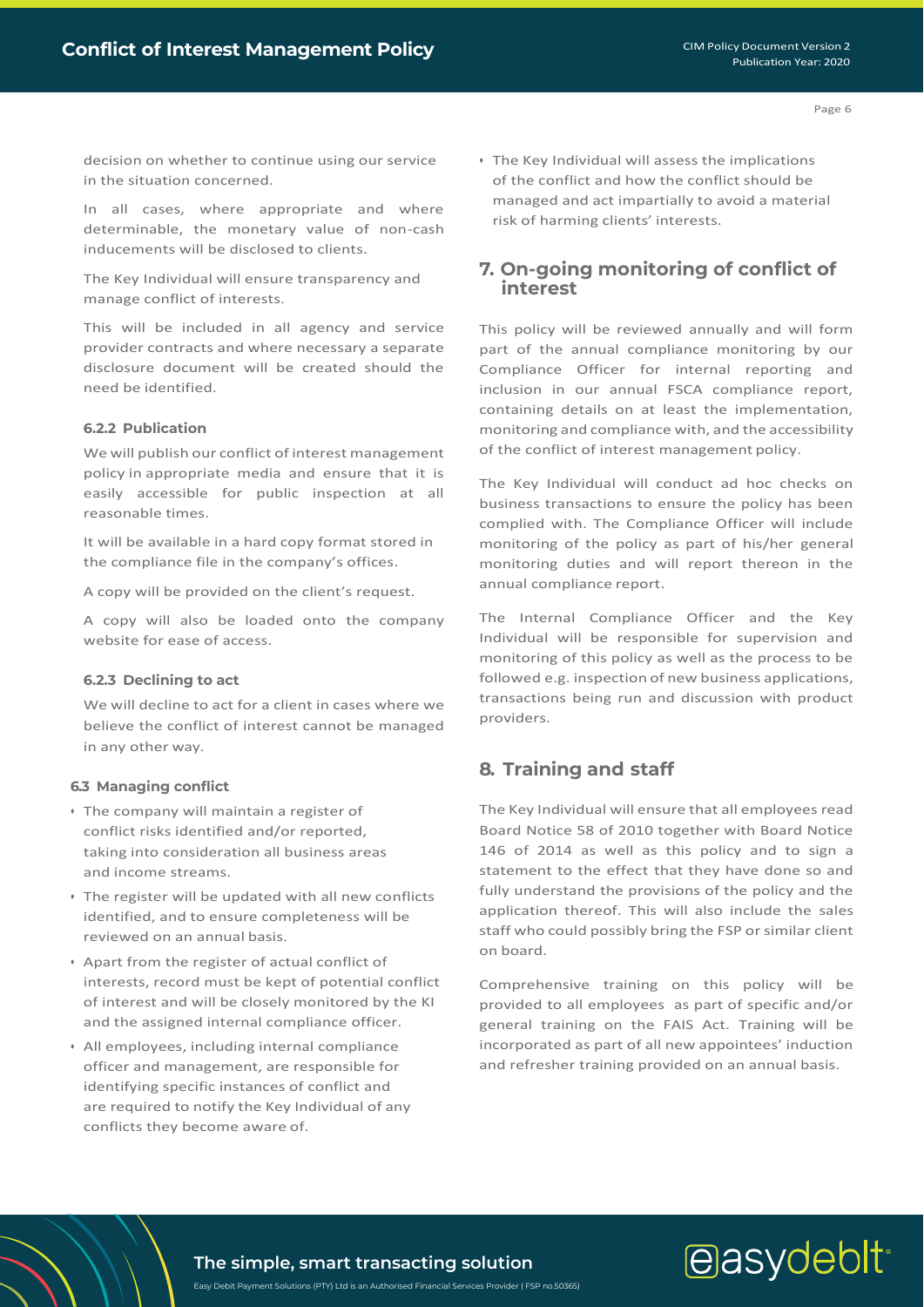decision on whether to continue using our service in the situation concerned.

In all cases, where appropriate and where determinable, the monetary value of non-cash inducements will be disclosed to clients.

The Key Individual will ensure transparency and manage conflict of interests.

This will be included in all agency and service provider contracts and where necessary a separate disclosure document will be created should the need be identified.

#### **6.2.2 Publication**

We will publish our conflict of interest management policy in appropriate media and ensure that it is easily accessible for public inspection at all reasonable times.

It will be available in a hard copy format stored in the compliance file in the company's offices.

A copy will be provided on the client's request.

A copy will also be loaded onto the company website for ease of access.

#### **6.2.3 Declining to act**

We will decline to act for a client in cases where we believe the conflict of interest cannot be managed in any other way.

#### **6.3 Managing conflict**

- The company will maintain a register of conflict risks identified and/or reported, taking into consideration all business areas and income streams.
- The register will be updated with all new conflicts identified, and to ensure completeness will be reviewed on an annual basis.
- Apart from the register of actual conflict of interests, record must be kept of potential conflict of interest and will be closely monitored by the KI and the assigned internal compliance officer.
- All employees, including internal compliance officer and management, are responsible for identifying specific instances of conflict and are required to notify the Key Individual of any conflicts they become aware of.

• The Key Individual will assess the implications of the conflict and how the conflict should be managed and act impartially to avoid a material risk of harming clients' interests.

### <span id="page-5-0"></span>**7. On-going monitoring of conflict of interest**

This policy will be reviewed annually and will form part of the annual compliance monitoring by our Compliance Officer for internal reporting and inclusion in our annual FSCA compliance report, containing details on at least the implementation, monitoring and compliance with, and the accessibility of the conflict of interest management policy.

The Key Individual will conduct ad hoc checks on business transactions to ensure the policy has been complied with. The Compliance Officer will include monitoring of the policy as part of his/her general monitoring duties and will report thereon in the annual compliance report.

The Internal Compliance Officer and the Key Individual will be responsible for supervision and monitoring of this policy as well as the process to be followed e.g. inspection of new business applications, transactions being run and discussion with product providers.

## <span id="page-5-1"></span>**8. Training and staff**

The Key Individual will ensure that all employees read Board Notice 58 of 2010 together with Board Notice 146 of 2014 as well as this policy and to sign a statement to the effect that they have done so and fully understand the provisions of the policy and the application thereof. This will also include the sales staff who could possibly bring the FSP or similar client on board.

Comprehensive training on this policy will be provided to all employees as part of specific and/or general training on the FAIS Act. Training will be incorporated as part of all new appointees' induction and refresher training provided on an annual basis.

# easydebit<sup>®</sup>

# **The simple, smart transacting solution**